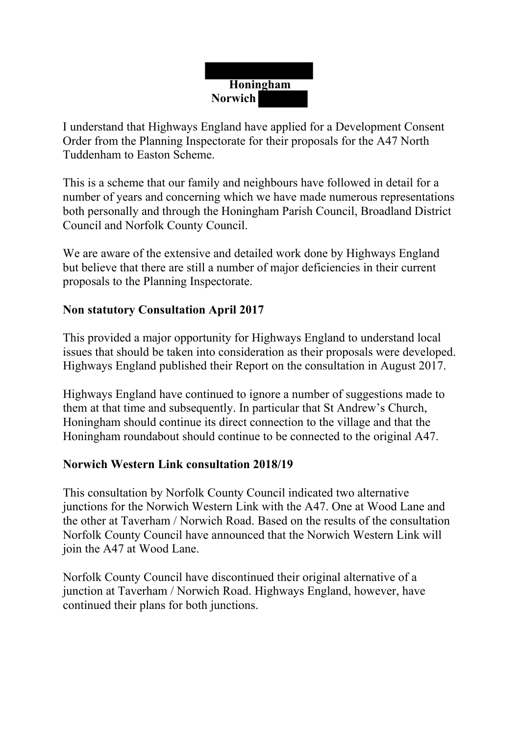# **Honingham Norwich**

I understand that Highways England have applied for a Development Consent Order from the Planning Inspectorate for their proposals for the A47 North Tuddenham to Easton Scheme.

This is a scheme that our family and neighbours have followed in detail for a number of years and concerning which we have made numerous representations both personally and through the Honingham Parish Council, Broadland District Council and Norfolk County Council.

We are aware of the extensive and detailed work done by Highways England but believe that there are still a number of major deficiencies in their current proposals to the Planning Inspectorate.

## **Non statutory Consultation April 2017**

This provided a major opportunity for Highways England to understand local issues that should be taken into consideration as their proposals were developed. Highways England published their Report on the consultation in August 2017.

Highways England have continued to ignore a number of suggestions made to them at that time and subsequently. In particular that St Andrew's Church, Honingham should continue its direct connection to the village and that the Honingham roundabout should continue to be connected to the original A47.

## **Norwich Western Link consultation 2018/19**

This consultation by Norfolk County Council indicated two alternative junctions for the Norwich Western Link with the A47. One at Wood Lane and the other at Taverham / Norwich Road. Based on the results of the consultation Norfolk County Council have announced that the Norwich Western Link will join the A47 at Wood Lane.

Norfolk County Council have discontinued their original alternative of a junction at Taverham / Norwich Road. Highways England, however, have continued their plans for both junctions.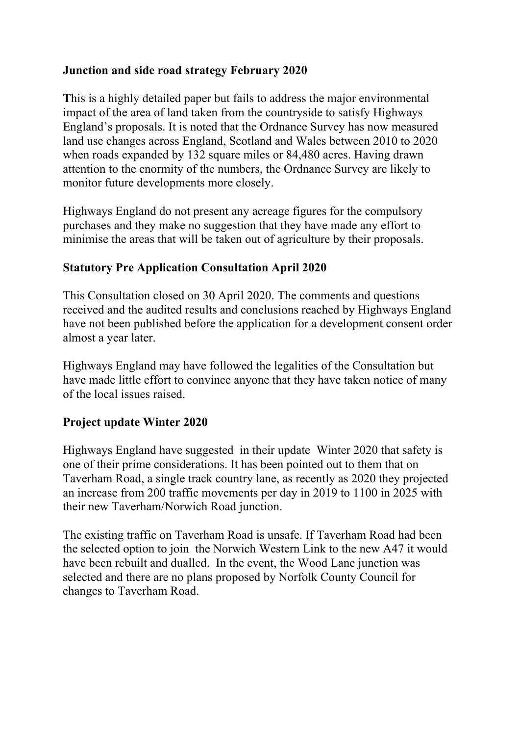## **Junction and side road strategy February 2020**

**T**his is a highly detailed paper but fails to address the major environmental impact of the area of land taken from the countryside to satisfy Highways England's proposals. It is noted that the Ordnance Survey has now measured land use changes across England, Scotland and Wales between 2010 to 2020 when roads expanded by 132 square miles or 84,480 acres. Having drawn attention to the enormity of the numbers, the Ordnance Survey are likely to monitor future developments more closely.

Highways England do not present any acreage figures for the compulsory purchases and they make no suggestion that they have made any effort to minimise the areas that will be taken out of agriculture by their proposals.

## **Statutory Pre Application Consultation April 2020**

This Consultation closed on 30 April 2020. The comments and questions received and the audited results and conclusions reached by Highways England have not been published before the application for a development consent order almost a year later.

Highways England may have followed the legalities of the Consultation but have made little effort to convince anyone that they have taken notice of many of the local issues raised.

## **Project update Winter 2020**

Highways England have suggested in their update Winter 2020 that safety is one of their prime considerations. It has been pointed out to them that on Taverham Road, a single track country lane, as recently as 2020 they projected an increase from 200 traffic movements per day in 2019 to 1100 in 2025 with their new Taverham/Norwich Road junction.

The existing traffic on Taverham Road is unsafe. If Taverham Road had been the selected option to join the Norwich Western Link to the new A47 it would have been rebuilt and dualled. In the event, the Wood Lane junction was selected and there are no plans proposed by Norfolk County Council for changes to Taverham Road.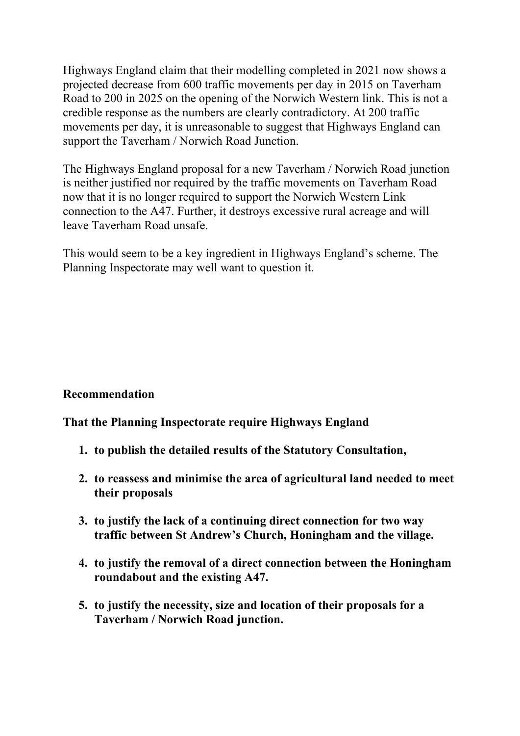Highways England claim that their modelling completed in 2021 now shows a projected decrease from 600 traffic movements per day in 2015 on Taverham Road to 200 in 2025 on the opening of the Norwich Western link. This is not a credible response as the numbers are clearly contradictory. At 200 traffic movements per day, it is unreasonable to suggest that Highways England can support the Taverham / Norwich Road Junction.

The Highways England proposal for a new Taverham / Norwich Road junction is neither justified nor required by the traffic movements on Taverham Road now that it is no longer required to support the Norwich Western Link connection to the A47. Further, it destroys excessive rural acreage and will leave Taverham Road unsafe.

This would seem to be a key ingredient in Highways England's scheme. The Planning Inspectorate may well want to question it.

## **Recommendation**

#### **That the Planning Inspectorate require Highways England**

- **1. to publish the detailed results of the Statutory Consultation,**
- **2. to reassess and minimise the area of agricultural land needed to meet their proposals**
- **3. to justify the lack of a continuing direct connection for two way traffic between St Andrew's Church, Honingham and the village.**
- **4. to justify the removal of a direct connection between the Honingham roundabout and the existing A47.**
- **5. to justify the necessity, size and location of their proposals for a Taverham / Norwich Road junction.**